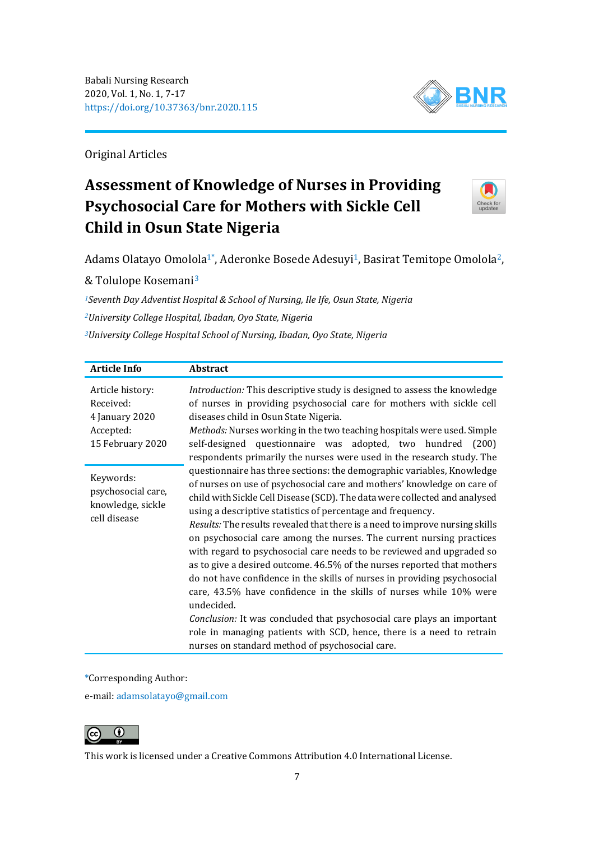

Original Articles

# **Assessment of Knowledge of Nurses in Providing Psychosocial Care for Mothers with Sickle Cell Child in Osun State Nigeria**



Adams Olatayo Omolola<sup>1</sup>\*, Aderonke Bosede Adesuyi<sup>1</sup>, Basirat Temitope Omolola<sup>2</sup>,

& Tolulope Kosemani<sup>3</sup>

*<sup>1</sup>Seventh Day Adventist Hospital & School of Nursing, Ile Ife, Osun State, Nigeria <sup>2</sup>University College Hospital, Ibadan, Oyo State, Nigeria <sup>3</sup>University College Hospital School of Nursing, Ibadan, Oyo State, Nigeria*

| <b>Article Info</b>                                                              | <b>Abstract</b>                                                                                                                                                                                                                                                                                                                                                                                                                                                                                                                                                                                                                                                                                                                                                                                                                                                                                                                                                                  |
|----------------------------------------------------------------------------------|----------------------------------------------------------------------------------------------------------------------------------------------------------------------------------------------------------------------------------------------------------------------------------------------------------------------------------------------------------------------------------------------------------------------------------------------------------------------------------------------------------------------------------------------------------------------------------------------------------------------------------------------------------------------------------------------------------------------------------------------------------------------------------------------------------------------------------------------------------------------------------------------------------------------------------------------------------------------------------|
| Article history:<br>Received:<br>4 January 2020<br>Accepted:<br>15 February 2020 | Introduction: This descriptive study is designed to assess the knowledge<br>of nurses in providing psychosocial care for mothers with sickle cell<br>diseases child in Osun State Nigeria.<br>Methods: Nurses working in the two teaching hospitals were used. Simple<br>questionnaire was adopted, two hundred (200)<br>self-designed<br>respondents primarily the nurses were used in the research study. The                                                                                                                                                                                                                                                                                                                                                                                                                                                                                                                                                                  |
| Keywords:<br>psychosocial care,<br>knowledge, sickle<br>cell disease             | questionnaire has three sections: the demographic variables, Knowledge<br>of nurses on use of psychosocial care and mothers' knowledge on care of<br>child with Sickle Cell Disease (SCD). The data were collected and analysed<br>using a descriptive statistics of percentage and frequency.<br>Results: The results revealed that there is a need to improve nursing skills<br>on psychosocial care among the nurses. The current nursing practices<br>with regard to psychosocial care needs to be reviewed and upgraded so<br>as to give a desired outcome. 46.5% of the nurses reported that mothers<br>do not have confidence in the skills of nurses in providing psychosocial<br>care, 43.5% have confidence in the skills of nurses while 10% were<br>undecided.<br>Conclusion: It was concluded that psychosocial care plays an important<br>role in managing patients with SCD, hence, there is a need to retrain<br>nurses on standard method of psychosocial care. |

\*Corresponding Author:

e-mail: [adamsolatayo@gmail.com](mailto:adamsolatayo@gmail.com)



This work is licensed under a [Creative Commons Attribution 4.0 International License.](https://creativecommons.org/licenses/by/4.0/)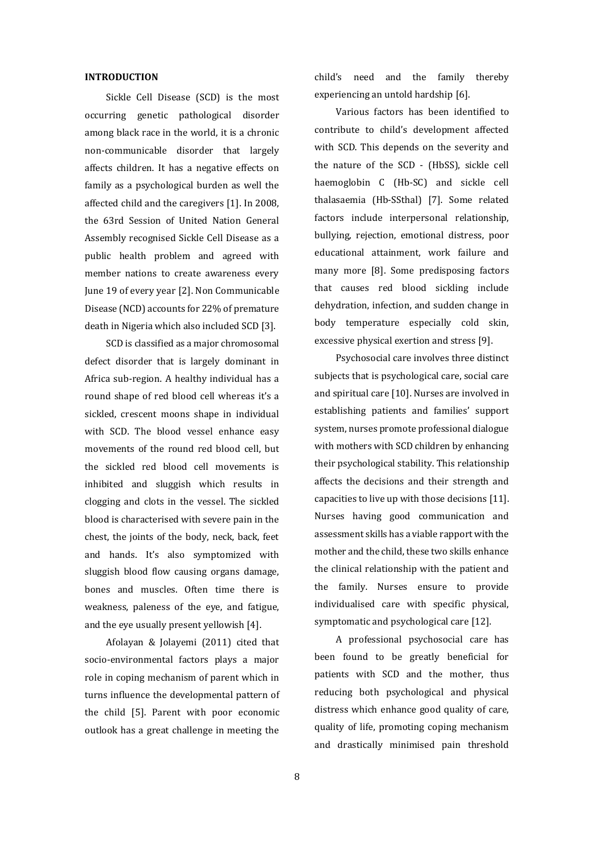#### **INTRODUCTION**

Sickle Cell Disease (SCD) is the most occurring genetic pathological disorder among black race in the world, it is a chronic non-communicable disorder that largely affects children. It has a negative effects on family as a psychological burden as well the affected child and the caregivers [1]. In 2008, the 63rd Session of United Nation General Assembly recognised Sickle Cell Disease as a public health problem and agreed with member nations to create awareness every June 19 of every year [2]. Non Communicable Disease (NCD) accounts for 22% of premature death in Nigeria which also included SCD [3].

SCD is classified as a major chromosomal defect disorder that is largely dominant in Africa sub-region. A healthy individual has a round shape of red blood cell whereas it's a sickled, crescent moons shape in individual with SCD. The blood vessel enhance easy movements of the round red blood cell, but the sickled red blood cell movements is inhibited and sluggish which results in clogging and clots in the vessel. The sickled blood is characterised with severe pain in the chest, the joints of the body, neck, back, feet and hands. It's also symptomized with sluggish blood flow causing organs damage, bones and muscles. Often time there is weakness, paleness of the eye, and fatigue, and the eye usually present yellowish [4].

Afolayan & Jolayemi (2011) cited that socio-environmental factors plays a major role in coping mechanism of parent which in turns influence the developmental pattern of the child [5]. Parent with poor economic outlook has a great challenge in meeting the child's need and the family thereby experiencing an untold hardship [6].

Various factors has been identified to contribute to child's development affected with SCD. This depends on the severity and the nature of the SCD - (HbSS), sickle cell haemoglobin C (Hb-SC) and sickle cell thalasaemia (Hb-SSthal) [7]. Some related factors include interpersonal relationship, bullying, rejection, emotional distress, poor educational attainment, work failure and many more [8]. Some predisposing factors that causes red blood sickling include dehydration, infection, and sudden change in body temperature especially cold skin, excessive physical exertion and stress [9].

Psychosocial care involves three distinct subjects that is psychological care, social care and spiritual care [10]. Nurses are involved in establishing patients and families' support system, nurses promote professional dialogue with mothers with SCD children by enhancing their psychological stability. This relationship affects the decisions and their strength and capacities to live up with those decisions [11]. Nurses having good communication and assessment skills has a viable rapport with the mother and the child, these two skills enhance the clinical relationship with the patient and the family. Nurses ensure to provide individualised care with specific physical, symptomatic and psychological care [12].

A professional psychosocial care has been found to be greatly beneficial for patients with SCD and the mother, thus reducing both psychological and physical distress which enhance good quality of care, quality of life, promoting coping mechanism and drastically minimised pain threshold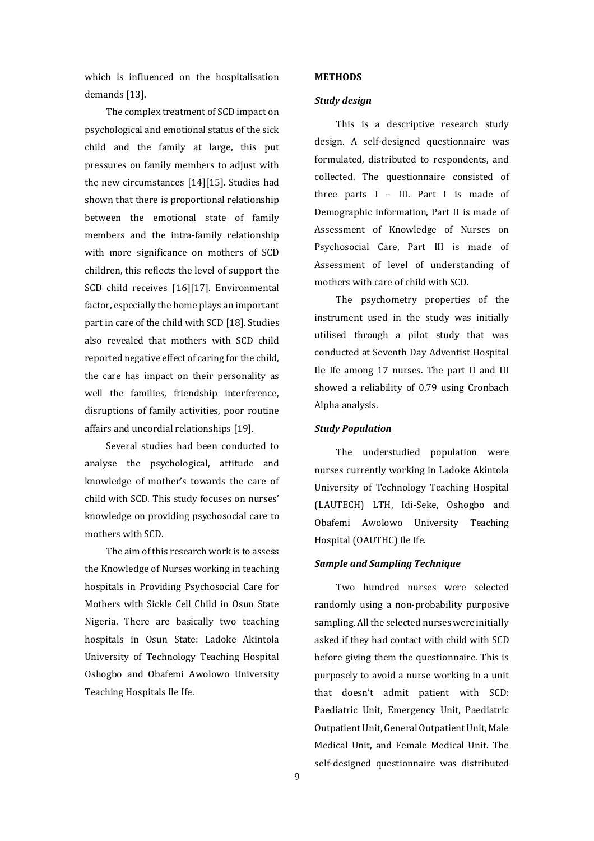which is influenced on the hospitalisation demands [13].

The complex treatment of SCD impact on psychological and emotional status of the sick child and the family at large, this put pressures on family members to adjust with the new circumstances [14][15]. Studies had shown that there is proportional relationship between the emotional state of family members and the intra-family relationship with more significance on mothers of SCD children, this reflects the level of support the SCD child receives [16][17]. Environmental factor, especially the home plays an important part in care of the child with SCD [18]. Studies also revealed that mothers with SCD child reported negative effect of caring for the child, the care has impact on their personality as well the families, friendship interference, disruptions of family activities, poor routine affairs and uncordial relationships [19].

Several studies had been conducted to analyse the psychological, attitude and knowledge of mother's towards the care of child with SCD. This study focuses on nurses' knowledge on providing psychosocial care to mothers with SCD.

The aim of this research work is to assess the Knowledge of Nurses working in teaching hospitals in Providing Psychosocial Care for Mothers with Sickle Cell Child in Osun State Nigeria. There are basically two teaching hospitals in Osun State: Ladoke Akintola University of Technology Teaching Hospital Oshogbo and Obafemi Awolowo University Teaching Hospitals Ile Ife.

#### **METHODS**

#### *Study design*

This is a descriptive research study design. A self-designed questionnaire was formulated, distributed to respondents, and collected. The questionnaire consisted of three parts I – III. Part I is made of Demographic information, Part II is made of Assessment of Knowledge of Nurses on Psychosocial Care, Part III is made of Assessment of level of understanding of mothers with care of child with SCD.

The psychometry properties of the instrument used in the study was initially utilised through a pilot study that was conducted at Seventh Day Adventist Hospital Ile Ife among 17 nurses. The part II and III showed a reliability of 0.79 using Cronbach Alpha analysis.

#### *Study Population*

The understudied population were nurses currently working in Ladoke Akintola University of Technology Teaching Hospital (LAUTECH) LTH, Idi-Seke, Oshogbo and Obafemi Awolowo University Teaching Hospital (OAUTHC) Ile Ife.

## *Sample and Sampling Technique*

Two hundred nurses were selected randomly using a non-probability purposive sampling. All the selected nurses were initially asked if they had contact with child with SCD before giving them the questionnaire. This is purposely to avoid a nurse working in a unit that doesn't admit patient with SCD: Paediatric Unit, Emergency Unit, Paediatric Outpatient Unit, General Outpatient Unit, Male Medical Unit, and Female Medical Unit. The self-designed questionnaire was distributed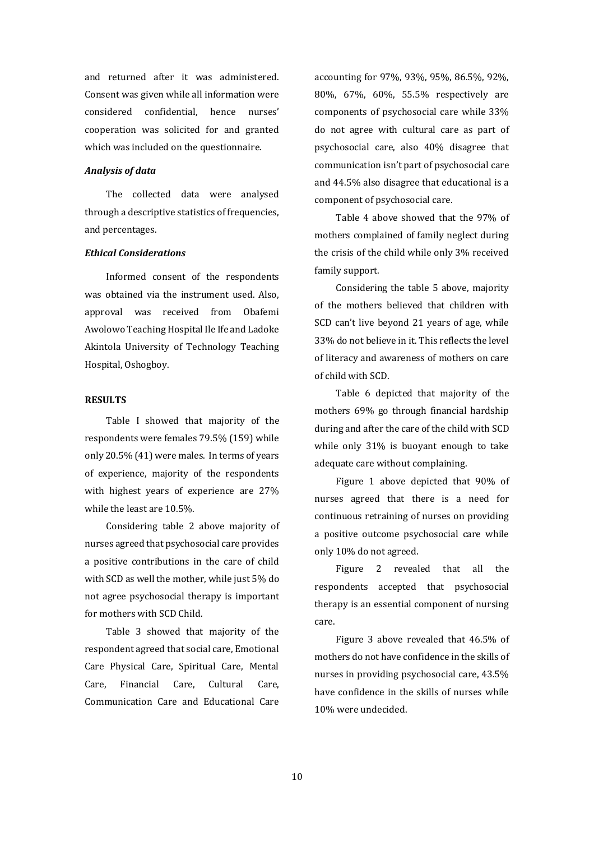and returned after it was administered. Consent was given while all information were considered confidential, hence nurses' cooperation was solicited for and granted which was included on the questionnaire.

# *Analysis of data*

The collected data were analysed through a descriptive statistics of frequencies, and percentages.

# *Ethical Considerations*

Informed consent of the respondents was obtained via the instrument used. Also, approval was received from Obafemi Awolowo Teaching Hospital Ile Ife and Ladoke Akintola University of Technology Teaching Hospital, Oshogboy.

## **RESULTS**

Table I showed that majority of the respondents were females 79.5% (159) while only 20.5% (41) were males. In terms of years of experience, majority of the respondents with highest years of experience are 27% while the least are 10.5%.

Considering table 2 above majority of nurses agreed that psychosocial care provides a positive contributions in the care of child with SCD as well the mother, while just 5% do not agree psychosocial therapy is important for mothers with SCD Child.

Table 3 showed that majority of the respondent agreed that social care, Emotional Care Physical Care, Spiritual Care, Mental Care, Financial Care, Cultural Care, Communication Care and Educational Care accounting for 97%, 93%, 95%, 86.5%, 92%, 80%, 67%, 60%, 55.5% respectively are components of psychosocial care while 33% do not agree with cultural care as part of psychosocial care, also 40% disagree that communication isn't part of psychosocial care and 44.5% also disagree that educational is a component of psychosocial care.

Table 4 above showed that the 97% of mothers complained of family neglect during the crisis of the child while only 3% received family support.

Considering the table 5 above, majority of the mothers believed that children with SCD can't live beyond 21 years of age, while 33% do not believe in it. This reflects the level of literacy and awareness of mothers on care of child with SCD.

Table 6 depicted that majority of the mothers 69% go through financial hardship during and after the care of the child with SCD while only 31% is buoyant enough to take adequate care without complaining.

Figure 1 above depicted that 90% of nurses agreed that there is a need for continuous retraining of nurses on providing a positive outcome psychosocial care while only 10% do not agreed.

Figure 2 revealed that all the respondents accepted that psychosocial therapy is an essential component of nursing care.

Figure 3 above revealed that 46.5% of mothers do not have confidence in the skills of nurses in providing psychosocial care, 43.5% have confidence in the skills of nurses while 10% were undecided.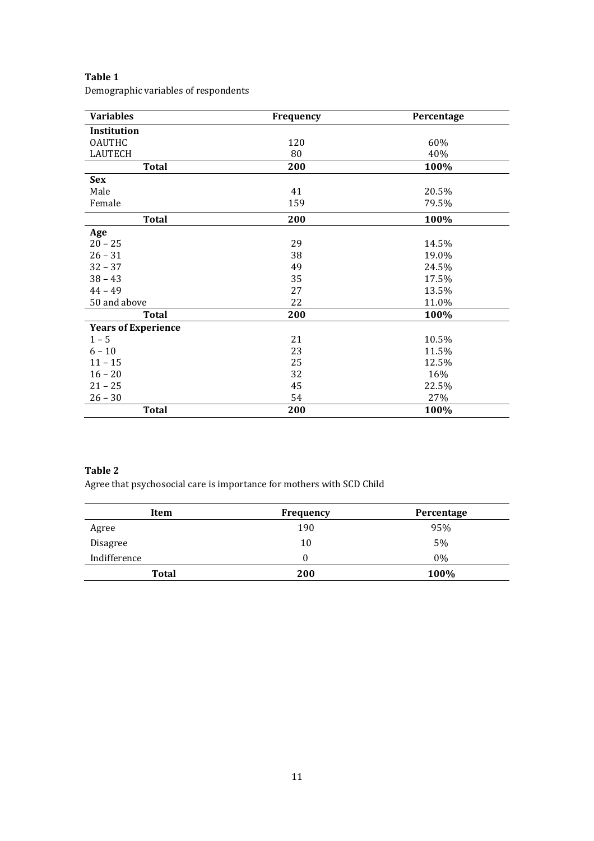# **Table 1**

Demographic variables of respondents

| <b>Variables</b>           | Frequency | Percentage |
|----------------------------|-----------|------------|
| Institution                |           |            |
| <b>OAUTHC</b>              | 120       | 60%        |
| <b>LAUTECH</b>             | 80        | 40%        |
| <b>Total</b>               | 200       | 100%       |
| <b>Sex</b>                 |           |            |
| Male                       | 41        | 20.5%      |
| Female                     | 159       | 79.5%      |
| <b>Total</b>               | 200       | 100%       |
| Age                        |           |            |
| $20 - 25$                  | 29        | 14.5%      |
| $26 - 31$                  | 38        | 19.0%      |
| $32 - 37$                  | 49        | 24.5%      |
| $38 - 43$                  | 35        | 17.5%      |
| $44 - 49$                  | 27        | 13.5%      |
| 50 and above               | 22        | 11.0%      |
| <b>Total</b>               | 200       | 100%       |
| <b>Years of Experience</b> |           |            |
| $1 - 5$                    | 21        | 10.5%      |
| $6 - 10$                   | 23        | 11.5%      |
| $11 - 15$                  | 25        | 12.5%      |
| $16 - 20$                  | 32        | 16%        |
| $21 - 25$                  | 45        | 22.5%      |
| $26 - 30$                  | 54        | 27%        |
| <b>Total</b>               | 200       | 100%       |

# **Table 2**

Agree that psychosocial care is importance for mothers with SCD Child

| Item         | <b>Frequency</b> | Percentage |
|--------------|------------------|------------|
| Agree        | 190              | 95%        |
| Disagree     | 10               | 5%         |
| Indifference |                  | $0\%$      |
| Total        | 200              | 100%       |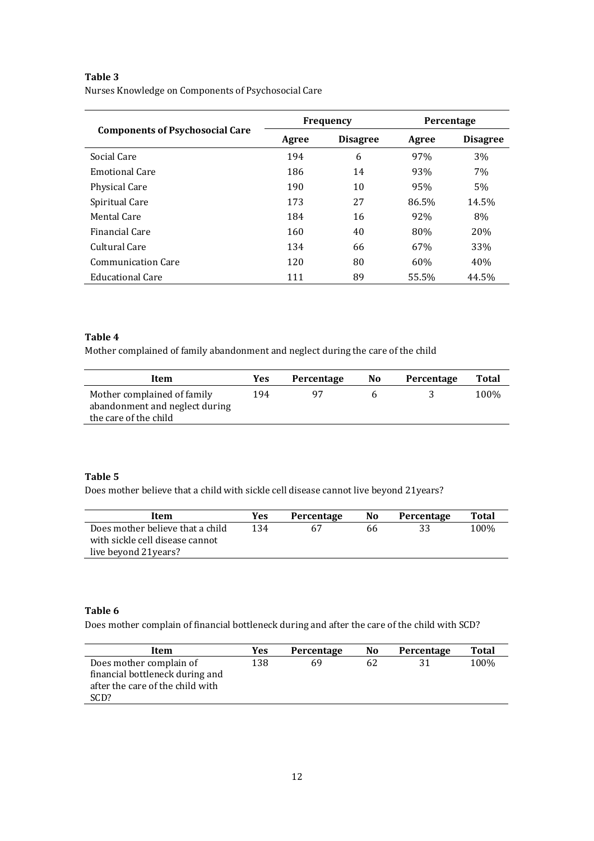# **Table 3**

|  | Nurses Knowledge on Components of Psychosocial Care |  |  |  |
|--|-----------------------------------------------------|--|--|--|
|--|-----------------------------------------------------|--|--|--|

|                                        |       | <b>Frequency</b> | Percentage |                 |  |
|----------------------------------------|-------|------------------|------------|-----------------|--|
| <b>Components of Psychosocial Care</b> | Agree | <b>Disagree</b>  | Agree      | <b>Disagree</b> |  |
| Social Care                            | 194   | 6                | 97%        | 3%              |  |
| <b>Emotional Care</b>                  | 186   | 14               | 93%        | 7%              |  |
| <b>Physical Care</b>                   | 190   | 10               | 95%        | 5%              |  |
| Spiritual Care                         | 173   | 27               | 86.5%      | 14.5%           |  |
| Mental Care                            | 184   | 16               | 92%        | 8%              |  |
| Financial Care                         | 160   | 40               | 80%        | 20%             |  |
| Cultural Care                          | 134   | 66               | 67%        | 33%             |  |
| <b>Communication Care</b>              | 120   | 80               | 60%        | 40%             |  |
| Educational Care                       | 111   | 89               | 55.5%      | 44.5%           |  |

# **Table 4**

Mother complained of family abandonment and neglect during the care of the child

| Item                                                          | Yes | Percentage | N <sub>0</sub> | Percentage | Total |
|---------------------------------------------------------------|-----|------------|----------------|------------|-------|
| Mother complained of family<br>abandonment and neglect during | 194 |            |                |            | 100%  |
| the care of the child                                         |     |            |                |            |       |

# **Table 5**

Does mother believe that a child with sickle cell disease cannot live beyond 21years?

| Item                             | Yes | Percentage | No | Percentage | Total |
|----------------------------------|-----|------------|----|------------|-------|
| Does mother believe that a child | 134 |            | 66 |            | 100%  |
| with sickle cell disease cannot  |     |            |    |            |       |
| live beyond 21 years?            |     |            |    |            |       |

# **Table 6**

Does mother complain of financial bottleneck during and after the care of the child with SCD?

| Item                                                                                                   | Yes | Percentage | No | Percentage | Total |
|--------------------------------------------------------------------------------------------------------|-----|------------|----|------------|-------|
| Does mother complain of<br>financial bottleneck during and<br>after the care of the child with<br>SCD? | 138 | 69         | 62 |            | 100%  |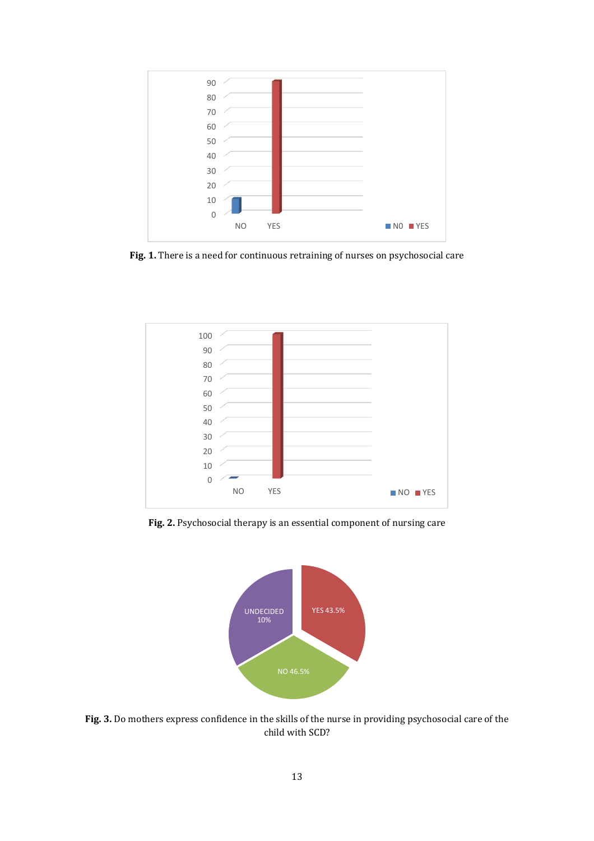

**Fig. 1.** There is a need for continuous retraining of nurses on psychosocial care



**Fig. 2.** Psychosocial therapy is an essential component of nursing care



**Fig. 3.** Do mothers express confidence in the skills of the nurse in providing psychosocial care of the child with SCD?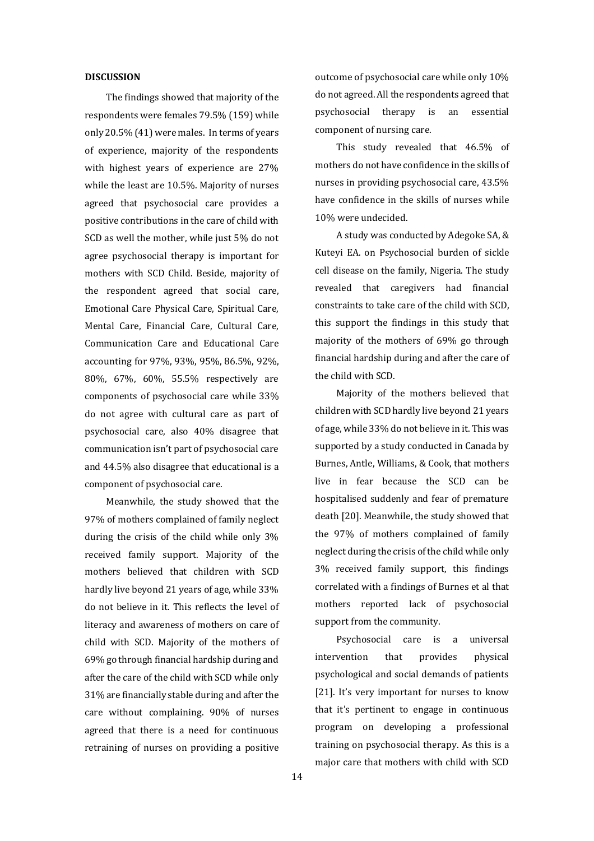### **DISCUSSION**

The findings showed that majority of the respondents were females 79.5% (159) while only 20.5% (41) were males. In terms of years of experience, majority of the respondents with highest years of experience are 27% while the least are 10.5%. Majority of nurses agreed that psychosocial care provides a positive contributions in the care of child with SCD as well the mother, while just 5% do not agree psychosocial therapy is important for mothers with SCD Child. Beside, majority of the respondent agreed that social care, Emotional Care Physical Care, Spiritual Care, Mental Care, Financial Care, Cultural Care, Communication Care and Educational Care accounting for 97%, 93%, 95%, 86.5%, 92%, 80%, 67%, 60%, 55.5% respectively are components of psychosocial care while 33% do not agree with cultural care as part of psychosocial care, also 40% disagree that communication isn't part of psychosocial care and 44.5% also disagree that educational is a component of psychosocial care.

Meanwhile, the study showed that the 97% of mothers complained of family neglect during the crisis of the child while only 3% received family support. Majority of the mothers believed that children with SCD hardly live beyond 21 years of age, while 33% do not believe in it. This reflects the level of literacy and awareness of mothers on care of child with SCD. Majority of the mothers of 69% go through financial hardship during and after the care of the child with SCD while only 31% are financially stable during and after the care without complaining. 90% of nurses agreed that there is a need for continuous retraining of nurses on providing a positive outcome of psychosocial care while only 10% do not agreed. All the respondents agreed that psychosocial therapy is an essential component of nursing care.

This study revealed that 46.5% of mothers do not have confidence in the skills of nurses in providing psychosocial care, 43.5% have confidence in the skills of nurses while 10% were undecided.

A study was conducted by Adegoke SA, & Kuteyi EA. on Psychosocial burden of sickle cell disease on the family, Nigeria. The study revealed that caregivers had financial constraints to take care of the child with SCD, this support the findings in this study that majority of the mothers of 69% go through financial hardship during and after the care of the child with SCD.

Majority of the mothers believed that children with SCD hardly live beyond 21 years of age, while 33% do not believe in it. This was supported by a study conducted in Canada by Burnes, Antle, Williams, & Cook, that mothers live in fear because the SCD can be hospitalised suddenly and fear of premature death [20]. Meanwhile, the study showed that the 97% of mothers complained of family neglect during the crisis of the child while only 3% received family support, this findings correlated with a findings of Burnes et al that mothers reported lack of psychosocial support from the community.

Psychosocial care is a universal intervention that provides physical psychological and social demands of patients [21]. It's very important for nurses to know that it's pertinent to engage in continuous program on developing a professional training on psychosocial therapy. As this is a major care that mothers with child with SCD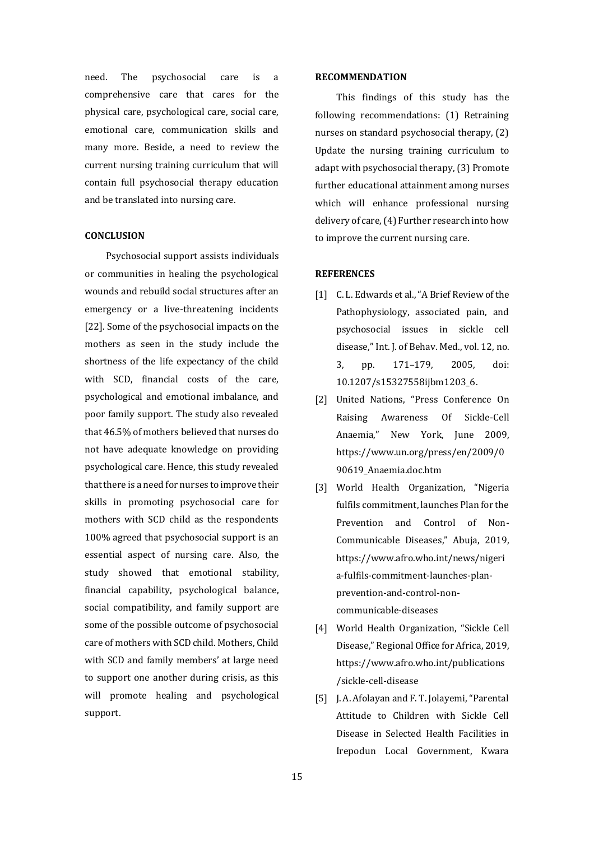need. The psychosocial care is a comprehensive care that cares for the physical care, psychological care, social care, emotional care, communication skills and many more. Beside, a need to review the current nursing training curriculum that will contain full psychosocial therapy education and be translated into nursing care.

## **CONCLUSION**

Psychosocial support assists individuals or communities in healing the psychological wounds and rebuild social structures after an emergency or a live-threatening incidents [22]. Some of the psychosocial impacts on the mothers as seen in the study include the shortness of the life expectancy of the child with SCD, financial costs of the care, psychological and emotional imbalance, and poor family support. The study also revealed that 46.5% of mothers believed that nurses do not have adequate knowledge on providing psychological care. Hence, this study revealed that there is a need for nurses to improve their skills in promoting psychosocial care for mothers with SCD child as the respondents 100% agreed that psychosocial support is an essential aspect of nursing care. Also, the study showed that emotional stability, financial capability, psychological balance, social compatibility, and family support are some of the possible outcome of psychosocial care of mothers with SCD child. Mothers, Child with SCD and family members' at large need to support one another during crisis, as this will promote healing and psychological support.

#### **RECOMMENDATION**

This findings of this study has the following recommendations: (1) Retraining nurses on standard psychosocial therapy, (2) Update the nursing training curriculum to adapt with psychosocial therapy, (3) Promote further educational attainment among nurses which will enhance professional nursing delivery of care, (4) Further research into how to improve the current nursing care.

## **REFERENCES**

- [1] C. L. Edwards et al., "A Brief Review of the Pathophysiology, associated pain, and psychosocial issues in sickle cell disease," Int. J. of Behav. Med., vol. 12, no. 3, pp. 171–179, 2005, doi: 10.1207/s15327558ijbm1203\_6.
- [2] United Nations, "Press Conference On Raising Awareness Of Sickle-Cell Anaemia," New York, June 2009, https://www.un.org/press/en/2009/0 90619\_Anaemia.doc.htm
- [3] World Health Organization, "Nigeria fulfils commitment, launches Plan for the Prevention and Control of Non-Communicable Diseases," Abuja, 2019, https://www.afro.who.int/news/nigeri a-fulfils-commitment-launches-planprevention-and-control-noncommunicable-diseases
- [4] World Health Organization, "Sickle Cell Disease," Regional Office for Africa, 2019, https://www.afro.who.int/publications /sickle-cell-disease
- [5] J. A. Afolayan and F. T. Jolayemi, "Parental Attitude to Children with Sickle Cell Disease in Selected Health Facilities in Irepodun Local Government, Kwara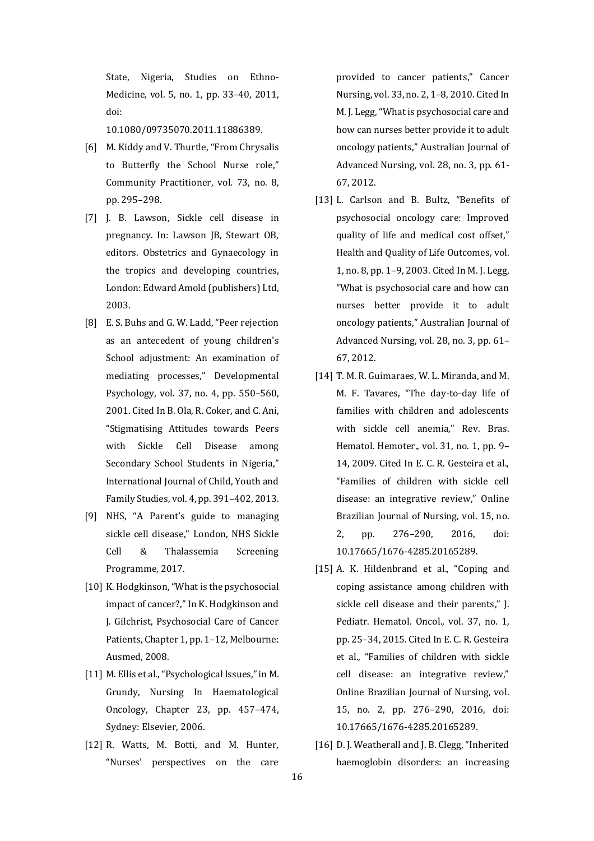State, Nigeria, Studies on Ethno-Medicine, vol. 5, no. 1, pp. 33–40, 2011, doi:

10.1080/09735070.2011.11886389.

- [6] M. Kiddy and V. Thurtle, "From Chrysalis to Butterfly the School Nurse role," Community Practitioner, vol. 73, no. 8, pp. 295–298.
- [7] J. B. Lawson, Sickle cell disease in pregnancy. In: Lawson JB, Stewart OB, editors. Obstetrics and Gynaecology in the tropics and developing countries, London: Edward Amold (publishers) Ltd, 2003.
- [8] E. S. Buhs and G. W. Ladd, "Peer rejection as an antecedent of young children's School adjustment: An examination of mediating processes," Developmental Psychology, vol. 37, no. 4, pp. 550–560, 2001. Cited In B. Ola, R. Coker, and C. Ani, "Stigmatising Attitudes towards Peers with Sickle Cell Disease among Secondary School Students in Nigeria," International Journal of Child, Youth and Family Studies, vol. 4, pp. 391–402, 2013.
- [9] NHS, "A Parent's guide to managing sickle cell disease," London, NHS Sickle Cell & Thalassemia Screening Programme, 2017.
- [10] K. Hodgkinson, "What is the psychosocial impact of cancer?," In K. Hodgkinson and J. Gilchrist, Psychosocial Care of Cancer Patients, Chapter 1, pp. 1–12, Melbourne: Ausmed, 2008.
- [11] M. Ellis et al., "Psychological Issues," in M. Grundy, Nursing In Haematological Oncology, Chapter 23, pp. 457–474, Sydney: Elsevier, 2006.
- [12] R. Watts, M. Botti, and M. Hunter, "Nurses' perspectives on the care

provided to cancer patients," Cancer Nursing, vol. 33, no. 2, 1–8, 2010. Cited In M. J. Legg,"What is psychosocial care and how can nurses better provide it to adult oncology patients," Australian Journal of Advanced Nursing, vol. 28, no. 3, pp. 61- 67, 2012.

- [13] L. Carlson and B. Bultz, "Benefits of psychosocial oncology care: Improved quality of life and medical cost offset," Health and Quality of Life Outcomes, vol. 1, no. 8, pp. 1–9, 2003. Cited In M. J. Legg, "What is psychosocial care and how can nurses better provide it to adult oncology patients," Australian Journal of Advanced Nursing, vol. 28, no. 3, pp. 61– 67, 2012.
- [14] T. M. R. Guimaraes, W. L. Miranda, and M. M. F. Tavares, "The day-to-day life of families with children and adolescents with sickle cell anemia," Rev. Bras. Hematol. Hemoter., vol. 31, no. 1, pp. 9– 14, 2009. Cited In E. C. R. Gesteira et al., "Families of children with sickle cell disease: an integrative review," Online Brazilian Journal of Nursing, vol. 15, no. 2, pp. 276–290, 2016, doi: 10.17665/1676-4285.20165289.
- [15] A. K. Hildenbrand et al., "Coping and coping assistance among children with sickle cell disease and their parents," J. Pediatr. Hematol. Oncol., vol. 37, no. 1, pp. 25–34, 2015. Cited In E. C. R. Gesteira et al., "Families of children with sickle cell disease: an integrative review," Online Brazilian Journal of Nursing, vol. 15, no. 2, pp. 276–290, 2016, doi: 10.17665/1676-4285.20165289.
- [16] D. J. Weatherall and J. B. Clegg, "Inherited haemoglobin disorders: an increasing